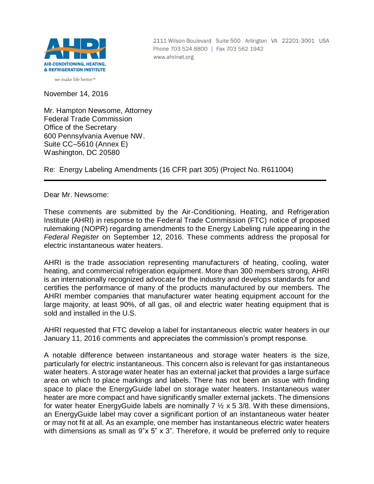

2111 Wilson Boulevard Suite 500 Arlington VA 22201-3001 USA Phone 703 524 8800 | Fax 703 562 1942 www.ahrinet.org

November 14, 2016

Mr. Hampton Newsome, Attorney Federal Trade Commission Office of the Secretary 600 Pennsylvania Avenue NW. Suite CC–5610 (Annex E) Washington, DC 20580

Re: Energy Labeling Amendments (16 CFR part 305) (Project No. R611004)

Dear Mr. Newsome:

These comments are submitted by the Air-Conditioning, Heating, and Refrigeration Institute (AHRI) in response to the Federal Trade Commission (FTC) notice of proposed rulemaking (NOPR) regarding amendments to the Energy Labeling rule appearing in the *Federal Register* on September 12, 2016. These comments address the proposal for electric instantaneous water heaters.

AHRI is the trade association representing manufacturers of heating, cooling, water heating, and commercial refrigeration equipment. More than 300 members strong, AHRI is an internationally recognized advocate for the industry and develops standards for and certifies the performance of many of the products manufactured by our members. The AHRI member companies that manufacturer water heating equipment account for the large majority, at least 90%, of all gas, oil and electric water heating equipment that is sold and installed in the U.S.

AHRI requested that FTC develop a label for instantaneous electric water heaters in our January 11, 2016 comments and appreciates the commission's prompt response.

A notable difference between instantaneous and storage water heaters is the size, particularly for electric instantaneous. This concern also is relevant for gas instantaneous water heaters. A storage water heater has an external jacket that provides a large surface area on which to place markings and labels. There has not been an issue with finding space to place the EnergyGuide label on storage water heaters. Instantaneous water heater are more compact and have significantly smaller external jackets. The dimensions for water heater EnergyGuide labels are nominally  $7 \frac{1}{2} \times 5 \frac{3}{8}$ . With these dimensions, an EnergyGuide label may cover a significant portion of an instantaneous water heater or may not fit at all. As an example, one member has instantaneous electric water heaters with dimensions as small as 9"x 5" x 3". Therefore, it would be preferred only to require